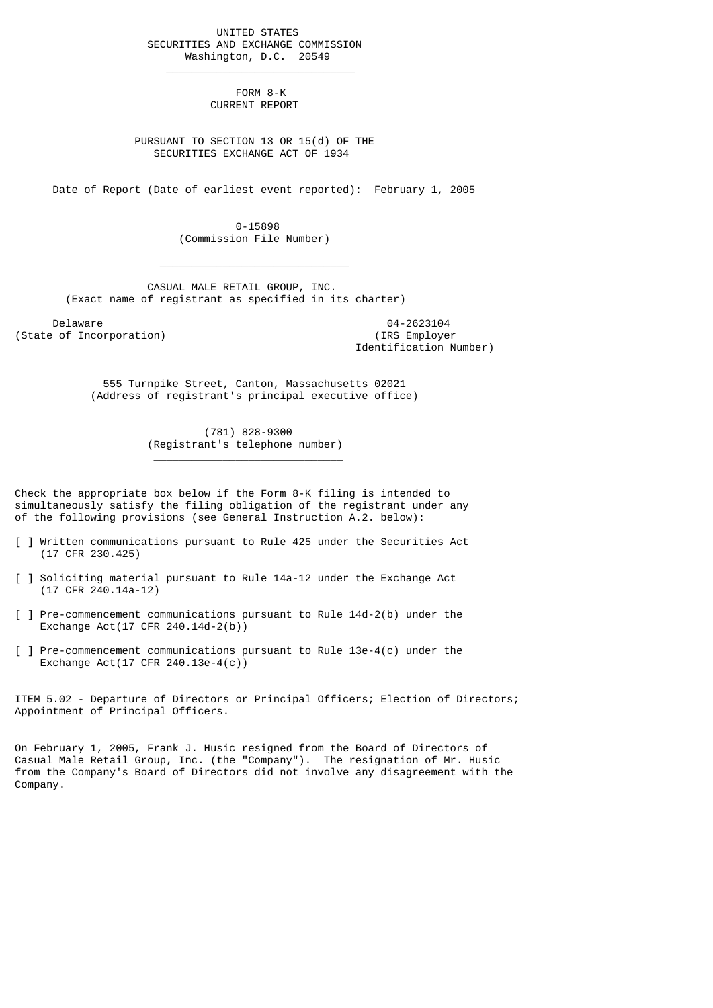UNITED STATES SECURITIES AND EXCHANGE COMMISSION Washington, D.C. 20549

 $\frac{1}{2}$  , and the set of the set of the set of the set of the set of the set of the set of the set of the set of the set of the set of the set of the set of the set of the set of the set of the set of the set of the set

 $\mathcal{L}_\text{max}$  and  $\mathcal{L}_\text{max}$  and  $\mathcal{L}_\text{max}$  and  $\mathcal{L}_\text{max}$  and  $\mathcal{L}_\text{max}$ 

\_\_\_\_\_\_\_\_\_\_\_\_\_\_\_\_\_\_\_\_\_\_\_\_\_\_\_\_\_\_

 FORM 8-K CURRENT REPORT

 PURSUANT TO SECTION 13 OR 15(d) OF THE SECURITIES EXCHANGE ACT OF 1934

Date of Report (Date of earliest event reported): February 1, 2005

 0-15898 (Commission File Number)

 CASUAL MALE RETAIL GROUP, INC. (Exact name of registrant as specified in its charter)

Delaware 04-2623104<br>
Delaware 04-2623104<br>
Of Incorporation (State of Incorporation)

Identification Number)

 555 Turnpike Street, Canton, Massachusetts 02021 (Address of registrant's principal executive office)

> (781) 828-9300 (Registrant's telephone number)

Check the appropriate box below if the Form 8-K filing is intended to simultaneously satisfy the filing obligation of the registrant under any of the following provisions (see General Instruction A.2. below):

- [ ] Written communications pursuant to Rule 425 under the Securities Act (17 CFR 230.425)
- [ ] Soliciting material pursuant to Rule 14a-12 under the Exchange Act (17 CFR 240.14a-12)
- [ ] Pre-commencement communications pursuant to Rule 14d-2(b) under the Exchange Act(17 CFR 240.14d-2(b))
- [ ] Pre-commencement communications pursuant to Rule 13e-4(c) under the Exchange Act(17 CFR 240.13e-4(c))

ITEM 5.02 - Departure of Directors or Principal Officers; Election of Directors; Appointment of Principal Officers.

On February 1, 2005, Frank J. Husic resigned from the Board of Directors of Casual Male Retail Group, Inc. (the "Company"). The resignation of Mr. Husic from the Company's Board of Directors did not involve any disagreement with the Company.